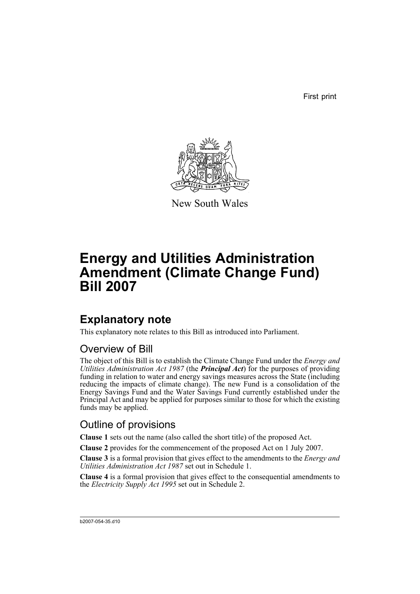First print



New South Wales

# **Energy and Utilities Administration Amendment (Climate Change Fund) Bill 2007**

## **Explanatory note**

This explanatory note relates to this Bill as introduced into Parliament.

## Overview of Bill

The object of this Bill is to establish the Climate Change Fund under the *Energy and Utilities Administration Act 1987* (the *Principal Act*) for the purposes of providing funding in relation to water and energy savings measures across the State (including reducing the impacts of climate change). The new Fund is a consolidation of the Energy Savings Fund and the Water Savings Fund currently established under the Principal Act and may be applied for purposes similar to those for which the existing funds may be applied.

## Outline of provisions

**Clause 1** sets out the name (also called the short title) of the proposed Act.

**Clause 2** provides for the commencement of the proposed Act on 1 July 2007.

**Clause 3** is a formal provision that gives effect to the amendments to the *Energy and Utilities Administration Act 1987* set out in Schedule 1.

**Clause 4** is a formal provision that gives effect to the consequential amendments to the *Electricity Supply Act 1995* set out in Schedule 2.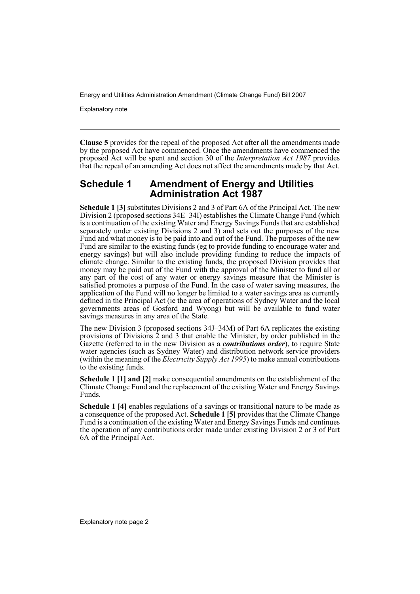Explanatory note

**Clause 5** provides for the repeal of the proposed Act after all the amendments made by the proposed Act have commenced. Once the amendments have commenced the proposed Act will be spent and section 30 of the *Interpretation Act 1987* provides that the repeal of an amending Act does not affect the amendments made by that Act.

### **Schedule 1 Amendment of Energy and Utilities Administration Act 1987**

**Schedule 1 [3]** substitutes Divisions 2 and 3 of Part 6A of the Principal Act. The new Division 2 (proposed sections 34E–34I) establishes the Climate Change Fund (which is a continuation of the existing Water and Energy Savings Funds that are established separately under existing Divisions 2 and 3) and sets out the purposes of the new Fund and what money is to be paid into and out of the Fund. The purposes of the new Fund are similar to the existing funds (eg to provide funding to encourage water and energy savings) but will also include providing funding to reduce the impacts of climate change. Similar to the existing funds, the proposed Division provides that money may be paid out of the Fund with the approval of the Minister to fund all or any part of the cost of any water or energy savings measure that the Minister is satisfied promotes a purpose of the Fund. In the case of water saving measures, the application of the Fund will no longer be limited to a water savings area as currently defined in the Principal Act (ie the area of operations of Sydney Water and the local governments areas of Gosford and Wyong) but will be available to fund water savings measures in any area of the State.

The new Division 3 (proposed sections 34J–34M) of Part 6A replicates the existing provisions of Divisions 2 and 3 that enable the Minister, by order published in the Gazette (referred to in the new Division as a *contributions order*), to require State water agencies (such as Sydney Water) and distribution network service providers (within the meaning of the *Electricity Supply Act 1995*) to make annual contributions to the existing funds.

**Schedule 1 [1] and [2]** make consequential amendments on the establishment of the Climate Change Fund and the replacement of the existing Water and Energy Savings Funds.

**Schedule 1 [4]** enables regulations of a savings or transitional nature to be made as a consequence of the proposed Act. **Schedule 1 [5]** provides that the Climate Change Fund is a continuation of the existing Water and Energy Savings Funds and continues the operation of any contributions order made under existing Division 2 or 3 of Part 6A of the Principal Act.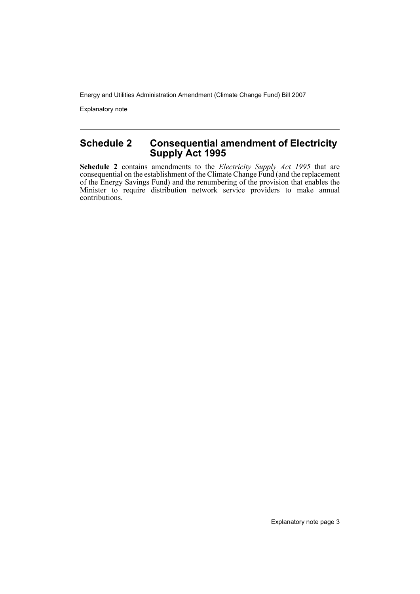Explanatory note

## **Schedule 2 Consequential amendment of Electricity Supply Act 1995**

**Schedule 2** contains amendments to the *Electricity Supply Act 1995* that are consequential on the establishment of the Climate Change Fund (and the replacement of the Energy Savings Fund) and the renumbering of the provision that enables the Minister to require distribution network service providers to make annual contributions.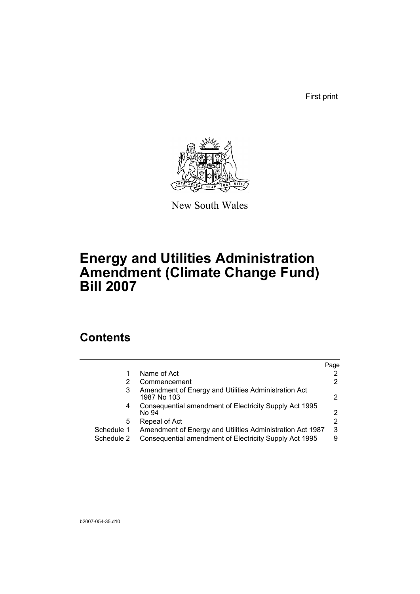First print



New South Wales

# **Energy and Utilities Administration Amendment (Climate Change Fund) Bill 2007**

## **Contents**

|            |                                                                     | Page                  |
|------------|---------------------------------------------------------------------|-----------------------|
|            | Name of Act                                                         | $\mathbf{2}^{\prime}$ |
|            | Commencement                                                        | 2                     |
| 3          | Amendment of Energy and Utilities Administration Act<br>1987 No 103 | 2                     |
| 4          | Consequential amendment of Electricity Supply Act 1995<br>No 94     | 2                     |
| 5          | Repeal of Act                                                       | 2                     |
| Schedule 1 | Amendment of Energy and Utilities Administration Act 1987           | 3                     |
| Schedule 2 | Consequential amendment of Electricity Supply Act 1995              | 9                     |
|            |                                                                     |                       |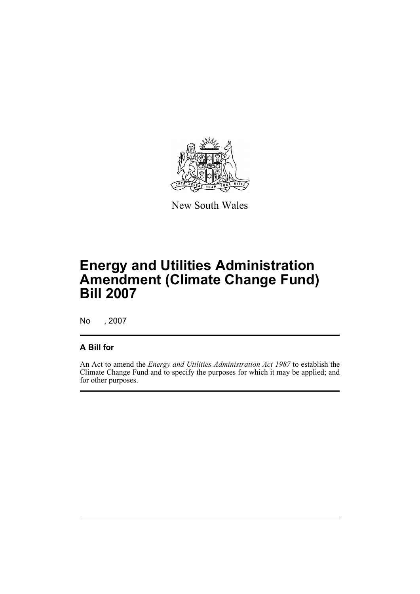

New South Wales

# **Energy and Utilities Administration Amendment (Climate Change Fund) Bill 2007**

No , 2007

## **A Bill for**

An Act to amend the *Energy and Utilities Administration Act 1987* to establish the Climate Change Fund and to specify the purposes for which it may be applied; and for other purposes.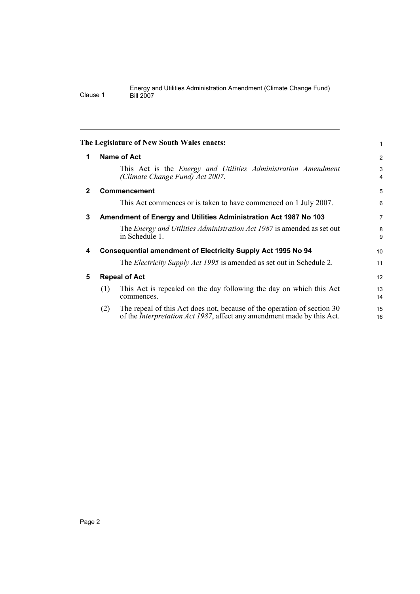<span id="page-7-4"></span><span id="page-7-3"></span><span id="page-7-2"></span><span id="page-7-1"></span><span id="page-7-0"></span>

|              | The Legislature of New South Wales enacts:                                                                                                                       | 1              |  |
|--------------|------------------------------------------------------------------------------------------------------------------------------------------------------------------|----------------|--|
| 1            | <b>Name of Act</b>                                                                                                                                               | $\overline{2}$ |  |
|              | This Act is the Energy and Utilities Administration Amendment<br>(Climate Change Fund) Act 2007.                                                                 | 3<br>4         |  |
| $\mathbf{2}$ | <b>Commencement</b>                                                                                                                                              | 5              |  |
|              | This Act commences or is taken to have commenced on 1 July 2007.                                                                                                 | 6              |  |
| 3            | Amendment of Energy and Utilities Administration Act 1987 No 103                                                                                                 |                |  |
|              | The <i>Energy and Utilities Administration Act 1987</i> is amended as set out<br>in Schedule 1.                                                                  | 8<br>9         |  |
| 4            | <b>Consequential amendment of Electricity Supply Act 1995 No 94</b>                                                                                              |                |  |
|              | The <i>Electricity Supply Act 1995</i> is amended as set out in Schedule 2.                                                                                      | 11             |  |
| 5            | <b>Repeal of Act</b>                                                                                                                                             |                |  |
|              | This Act is repealed on the day following the day on which this Act<br>(1)<br>commences.                                                                         | 13<br>14       |  |
|              | The repeal of this Act does not, because of the operation of section 30<br>(2)<br>of the <i>Interpretation Act 1987</i> , affect any amendment made by this Act. | 15<br>16       |  |
|              |                                                                                                                                                                  |                |  |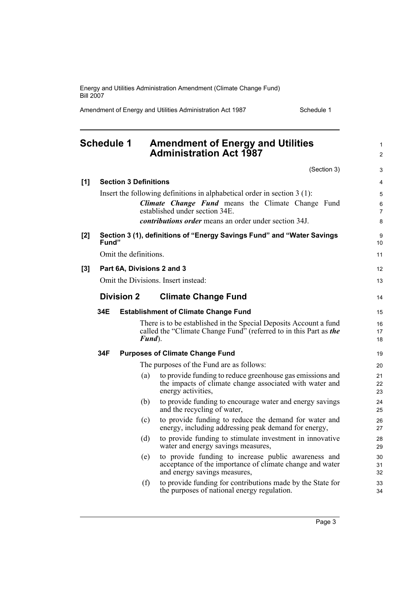Amendment of Energy and Utilities Administration Act 1987 Schedule 1

1  $\mathfrak{p}$ 

#### <span id="page-8-0"></span>**Schedule 1 Amendment of Energy and Utilities Administration Act 1987** (Section 3) **[1] Section 3 Definitions** Insert the following definitions in alphabetical order in section 3 (1): *Climate Change Fund* means the Climate Change Fund established under section 34E. *contributions order* means an order under section 34J. **[2] Section 3 (1), definitions of "Energy Savings Fund" and "Water Savings Fund"** Omit the definitions. **[3] Part 6A, Divisions 2 and 3** Omit the Divisions. Insert instead: **Division 2 Climate Change Fund 34E Establishment of Climate Change Fund** There is to be established in the Special Deposits Account a fund called the "Climate Change Fund" (referred to in this Part as *the Fund*). **34F Purposes of Climate Change Fund** The purposes of the Fund are as follows: (a) to provide funding to reduce greenhouse gas emissions and the impacts of climate change associated with water and energy activities, (b) to provide funding to encourage water and energy savings and the recycling of water, (c) to provide funding to reduce the demand for water and energy, including addressing peak demand for energy, (d) to provide funding to stimulate investment in innovative water and energy savings measures, (e) to provide funding to increase public awareness and acceptance of the importance of climate change and water and energy savings measures, (f) to provide funding for contributions made by the State for 10 11 12 13 14 15 16 17 18 19 20 21 22 23 24 25 26 27 28 29 30 31 32 33

the purposes of national energy regulation.

Page 3

34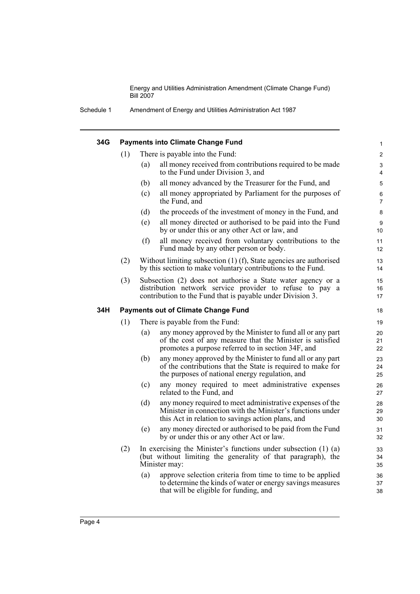Schedule 1 Amendment of Energy and Utilities Administration Act 1987

| 34G |     |     | <b>Payments into Climate Change Fund</b>                                                                                                                                              | $\mathbf{1}$        |
|-----|-----|-----|---------------------------------------------------------------------------------------------------------------------------------------------------------------------------------------|---------------------|
|     | (1) |     | There is payable into the Fund:                                                                                                                                                       | $\overline{2}$      |
|     |     | (a) | all money received from contributions required to be made<br>to the Fund under Division 3, and                                                                                        | 3<br>$\overline{4}$ |
|     |     | (b) | all money advanced by the Treasurer for the Fund, and                                                                                                                                 | 5                   |
|     |     | (c) | all money appropriated by Parliament for the purposes of<br>the Fund, and                                                                                                             | 6<br>$\overline{7}$ |
|     |     | (d) | the proceeds of the investment of money in the Fund, and                                                                                                                              | 8                   |
|     |     | (e) | all money directed or authorised to be paid into the Fund<br>by or under this or any other Act or law, and                                                                            | 9<br>10             |
|     |     | (f) | all money received from voluntary contributions to the<br>Fund made by any other person or body.                                                                                      | 11<br>12            |
|     | (2) |     | Without limiting subsection $(1)$ $(f)$ , State agencies are authorised<br>by this section to make voluntary contributions to the Fund.                                               | 13<br>14            |
|     | (3) |     | Subsection (2) does not authorise a State water agency or a<br>distribution network service provider to refuse to pay a<br>contribution to the Fund that is payable under Division 3. | 15<br>16<br>17      |
| 34H |     |     | <b>Payments out of Climate Change Fund</b>                                                                                                                                            | 18                  |
|     | (1) |     | There is payable from the Fund:                                                                                                                                                       | 19                  |
|     |     | (a) | any money approved by the Minister to fund all or any part<br>of the cost of any measure that the Minister is satisfied<br>promotes a purpose referred to in section 34F, and         | 20<br>21<br>22      |
|     |     | (b) | any money approved by the Minister to fund all or any part<br>of the contributions that the State is required to make for<br>the purposes of national energy regulation, and          | 23<br>24<br>25      |
|     |     |     |                                                                                                                                                                                       |                     |
|     |     | (c) | any money required to meet administrative expenses<br>related to the Fund, and                                                                                                        | 26<br>27            |
|     |     | (d) | any money required to meet administrative expenses of the<br>Minister in connection with the Minister's functions under<br>this Act in relation to savings action plans, and          | 28<br>29<br>30      |
|     |     | (e) | any money directed or authorised to be paid from the Fund<br>by or under this or any other Act or law.                                                                                | 31<br>32            |
|     | (2) |     | In exercising the Minister's functions under subsection $(1)$ $(a)$<br>(but without limiting the generality of that paragraph), the<br>Minister may:                                  | 33<br>34<br>35      |
|     |     | (a) | approve selection criteria from time to time to be applied<br>to determine the kinds of water or energy savings measures<br>that will be eligible for funding, and                    | 36<br>37<br>38      |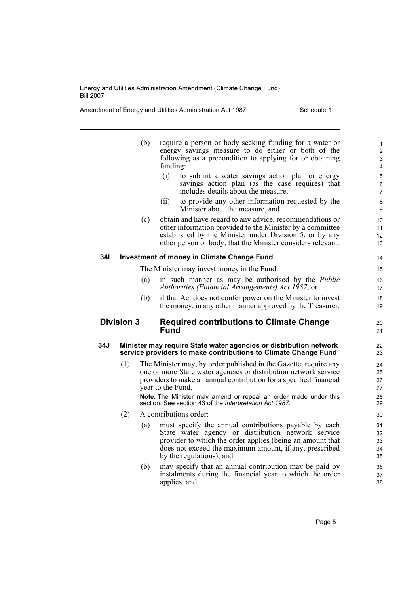Amendment of Energy and Utilities Administration Act 1987 Schedule 1

|                                                                                     |     | (b) | require a person or body seeking funding for a water or<br>energy savings measure to do either or both of the<br>following as a precondition to applying for or obtaining<br>funding:                                                                                                                                                                         | $\mathbf{1}$<br>$\overline{2}$<br>3<br>4 |
|-------------------------------------------------------------------------------------|-----|-----|---------------------------------------------------------------------------------------------------------------------------------------------------------------------------------------------------------------------------------------------------------------------------------------------------------------------------------------------------------------|------------------------------------------|
|                                                                                     |     |     | (i)<br>to submit a water savings action plan or energy<br>savings action plan (as the case requires) that<br>includes details about the measure,                                                                                                                                                                                                              | 5<br>6<br>$\overline{7}$                 |
|                                                                                     |     |     | to provide any other information requested by the<br>(ii)<br>Minister about the measure, and                                                                                                                                                                                                                                                                  | 8<br>9                                   |
|                                                                                     |     | (c) | obtain and have regard to any advice, recommendations or<br>other information provided to the Minister by a committee<br>established by the Minister under Division 5, or by any<br>other person or body, that the Minister considers relevant.                                                                                                               | 10<br>11<br>12<br>13                     |
| 34I                                                                                 |     |     | <b>Investment of money in Climate Change Fund</b>                                                                                                                                                                                                                                                                                                             | 14                                       |
|                                                                                     |     |     | The Minister may invest money in the Fund:                                                                                                                                                                                                                                                                                                                    | 15                                       |
|                                                                                     |     | (a) | in such manner as may be authorised by the <i>Public</i><br>Authorities (Financial Arrangements) Act 1987, or                                                                                                                                                                                                                                                 | 16<br>17                                 |
|                                                                                     |     | (b) | if that Act does not confer power on the Minister to invest<br>the money, in any other manner approved by the Treasurer.                                                                                                                                                                                                                                      | 18<br>19                                 |
| <b>Division 3</b><br><b>Required contributions to Climate Change</b><br><b>Fund</b> |     |     | 20<br>21                                                                                                                                                                                                                                                                                                                                                      |                                          |
|                                                                                     |     |     |                                                                                                                                                                                                                                                                                                                                                               |                                          |
| 34J                                                                                 |     |     | Minister may require State water agencies or distribution network<br>service providers to make contributions to Climate Change Fund                                                                                                                                                                                                                           | 22<br>23                                 |
|                                                                                     | (1) |     | The Minister may, by order published in the Gazette, require any<br>one or more State water agencies or distribution network service<br>providers to make an annual contribution for a specified financial<br>year to the Fund.<br>Note. The Minister may amend or repeal an order made under this<br>section. See section 43 of the Interpretation Act 1987. | 24<br>25<br>26<br>27<br>28<br>29         |
|                                                                                     | (2) |     | A contributions order:                                                                                                                                                                                                                                                                                                                                        | 30                                       |
|                                                                                     |     | (a) | must specify the annual contributions payable by each<br>State water agency or distribution network service<br>provider to which the order applies (being an amount that<br>does not exceed the maximum amount, if any, prescribed<br>by the regulations), and                                                                                                | 31<br>32<br>33<br>34<br>35               |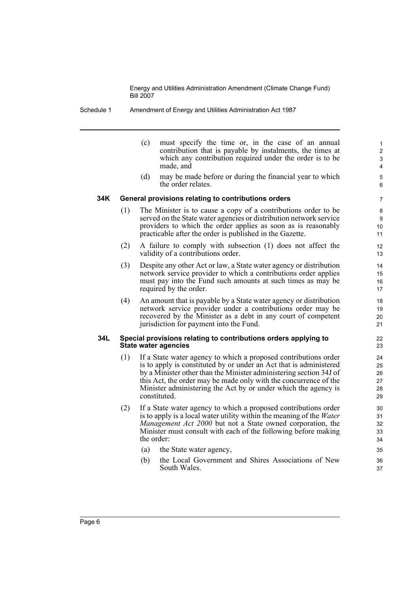Schedule 1 Amendment of Energy and Utilities Administration Act 1987

(c) must specify the time or, in the case of an annual contribution that is payable by instalments, the times at which any contribution required under the order is to be made, and

(d) may be made before or during the financial year to which the order relates.

#### **34K General provisions relating to contributions orders**

- (1) The Minister is to cause a copy of a contributions order to be served on the State water agencies or distribution network service providers to which the order applies as soon as is reasonably practicable after the order is published in the Gazette.
- (2) A failure to comply with subsection (1) does not affect the validity of a contributions order.
- (3) Despite any other Act or law, a State water agency or distribution network service provider to which a contributions order applies must pay into the Fund such amounts at such times as may be required by the order.
- (4) An amount that is payable by a State water agency or distribution network service provider under a contributions order may be recovered by the Minister as a debt in any court of competent jurisdiction for payment into the Fund.

#### **34L Special provisions relating to contributions orders applying to State water agencies**

- (1) If a State water agency to which a proposed contributions order is to apply is constituted by or under an Act that is administered by a Minister other than the Minister administering section 34J of this Act, the order may be made only with the concurrence of the Minister administering the Act by or under which the agency is constituted.
- (2) If a State water agency to which a proposed contributions order is to apply is a local water utility within the meaning of the *Water Management Act 2000* but not a State owned corporation, the Minister must consult with each of the following before making the order:
	- (a) the State water agency,
	- (b) the Local Government and Shires Associations of New South Wales.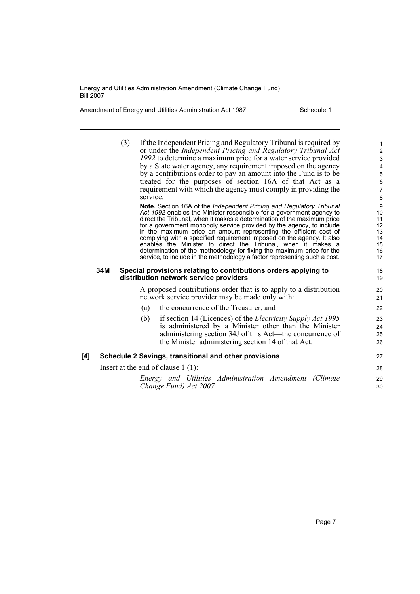Amendment of Energy and Utilities Administration Act 1987 Schedule 1

|     | (3) | If the Independent Pricing and Regulatory Tribunal is required by<br>or under the Independent Pricing and Regulatory Tribunal Act<br>1992 to determine a maximum price for a water service provided<br>by a State water agency, any requirement imposed on the agency<br>by a contributions order to pay an amount into the Fund is to be<br>treated for the purposes of section 16A of that Act as a<br>requirement with which the agency must comply in providing the<br>service.<br>Note. Section 16A of the Independent Pricing and Regulatory Tribunal<br>Act 1992 enables the Minister responsible for a government agency to<br>direct the Tribunal, when it makes a determination of the maximum price<br>for a government monopoly service provided by the agency, to include<br>in the maximum price an amount representing the efficient cost of<br>complying with a specified requirement imposed on the agency. It also<br>enables the Minister to direct the Tribunal, when it makes a<br>determination of the methodology for fixing the maximum price for the<br>service, to include in the methodology a factor representing such a cost. | $\mathbf{1}$<br>$\overline{c}$<br>$\ensuremath{\mathsf{3}}$<br>$\overline{4}$<br>$\mathbf 5$<br>$\,6\,$<br>$\overline{7}$<br>8<br>9<br>10<br>11<br>12<br>13<br>14<br>15<br>16<br>17 |
|-----|-----|------------------------------------------------------------------------------------------------------------------------------------------------------------------------------------------------------------------------------------------------------------------------------------------------------------------------------------------------------------------------------------------------------------------------------------------------------------------------------------------------------------------------------------------------------------------------------------------------------------------------------------------------------------------------------------------------------------------------------------------------------------------------------------------------------------------------------------------------------------------------------------------------------------------------------------------------------------------------------------------------------------------------------------------------------------------------------------------------------------------------------------------------------------|-------------------------------------------------------------------------------------------------------------------------------------------------------------------------------------|
|     | 34M | Special provisions relating to contributions orders applying to<br>distribution network service providers                                                                                                                                                                                                                                                                                                                                                                                                                                                                                                                                                                                                                                                                                                                                                                                                                                                                                                                                                                                                                                                  | 18<br>19                                                                                                                                                                            |
|     |     | A proposed contributions order that is to apply to a distribution<br>network service provider may be made only with:                                                                                                                                                                                                                                                                                                                                                                                                                                                                                                                                                                                                                                                                                                                                                                                                                                                                                                                                                                                                                                       | 20<br>21                                                                                                                                                                            |
|     |     | the concurrence of the Treasurer, and<br>(a)                                                                                                                                                                                                                                                                                                                                                                                                                                                                                                                                                                                                                                                                                                                                                                                                                                                                                                                                                                                                                                                                                                               | 22                                                                                                                                                                                  |
|     |     | if section 14 (Licences) of the <i>Electricity Supply Act 1995</i><br>(b)<br>is administered by a Minister other than the Minister<br>administering section 34J of this Act-the concurrence of<br>the Minister administering section 14 of that Act.                                                                                                                                                                                                                                                                                                                                                                                                                                                                                                                                                                                                                                                                                                                                                                                                                                                                                                       | 23<br>24<br>25<br>26                                                                                                                                                                |
| [4] |     | Schedule 2 Savings, transitional and other provisions                                                                                                                                                                                                                                                                                                                                                                                                                                                                                                                                                                                                                                                                                                                                                                                                                                                                                                                                                                                                                                                                                                      | 27                                                                                                                                                                                  |
|     |     | Insert at the end of clause $1(1)$ :                                                                                                                                                                                                                                                                                                                                                                                                                                                                                                                                                                                                                                                                                                                                                                                                                                                                                                                                                                                                                                                                                                                       | 28                                                                                                                                                                                  |
|     |     | Energy and Utilities Administration Amendment (Climate<br>Change Fund) Act 2007                                                                                                                                                                                                                                                                                                                                                                                                                                                                                                                                                                                                                                                                                                                                                                                                                                                                                                                                                                                                                                                                            | 29<br>30                                                                                                                                                                            |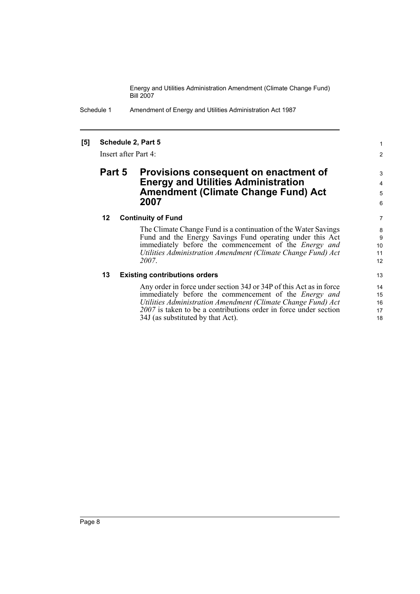Schedule 1 Amendment of Energy and Utilities Administration Act 1987

### **[5] Schedule 2, Part 5**

Insert after Part 4:

### **Part 5 Provisions consequent on enactment of Energy and Utilities Administration Amendment (Climate Change Fund) Act 2007**

#### **12 Continuity of Fund**

The Climate Change Fund is a continuation of the Water Savings Fund and the Energy Savings Fund operating under this Act immediately before the commencement of the *Energy and Utilities Administration Amendment (Climate Change Fund) Act 2007*.

### **13 Existing contributions orders**

Any order in force under section 34J or 34P of this Act as in force immediately before the commencement of the *Energy and Utilities Administration Amendment (Climate Change Fund) Act 2007* is taken to be a contributions order in force under section 34J (as substituted by that Act).

1 2